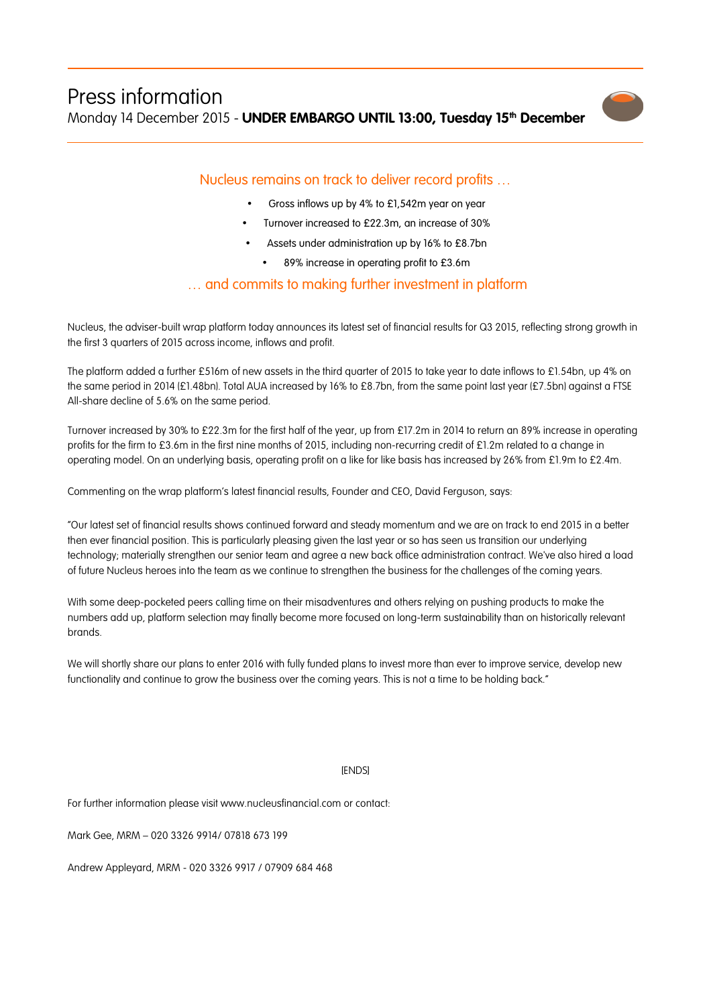

## Nucleus remains on track to deliver record profits …

- Gross inflows up by 4% to £1,542m year on year
- Turnover increased to £22.3m, an increase of 30%
- Assets under administration up by 16% to £8.7bn
	- 89% increase in operating profit to £3.6m

## … and commits to making further investment in platform

Nucleus, the adviser-built wrap platform today announces its latest set of financial results for Q3 2015, reflecting strong growth in the first 3 quarters of 2015 across income, inflows and profit.

The platform added a further £516m of new assets in the third quarter of 2015 to take year to date inflows to £1.54bn, up 4% on the same period in 2014 (£1.48bn). Total AUA increased by 16% to £8.7bn, from the same point last year (£7.5bn) against a FTSE All-share decline of 5.6% on the same period.

Turnover increased by 30% to £22.3m for the first half of the year, up from £17.2m in 2014 to return an 89% increase in operating profits for the firm to £3.6m in the first nine months of 2015, including non-recurring credit of £1.2m related to a change in operating model. On an underlying basis, operating profit on a like for like basis has increased by 26% from £1.9m to £2.4m.

Commenting on the wrap platform's latest financial results, Founder and CEO, David Ferguson, says:

"Our latest set of financial results shows continued forward and steady momentum and we are on track to end 2015 in a better then ever financial position. This is particularly pleasing given the last year or so has seen us transition our underlying technology; materially strengthen our senior team and agree a new back office administration contract. We've also hired a load of future Nucleus heroes into the team as we continue to strengthen the business for the challenges of the coming years.

With some deep-pocketed peers calling time on their misadventures and others relying on pushing products to make the numbers add up, platform selection may finally become more focused on long-term sustainability than on historically relevant brands.

We will shortly share our plans to enter 2016 with fully funded plans to invest more than ever to improve service, develop new functionality and continue to grow the business over the coming years. This is not a time to be holding back."

## [ENDS]

For further information please visit www.nucleusfinancial.com or contact:

Mark Gee, MRM – 020 3326 9914/ 07818 673 199

Andrew Appleyard, MRM - 020 3326 9917 / 07909 684 468